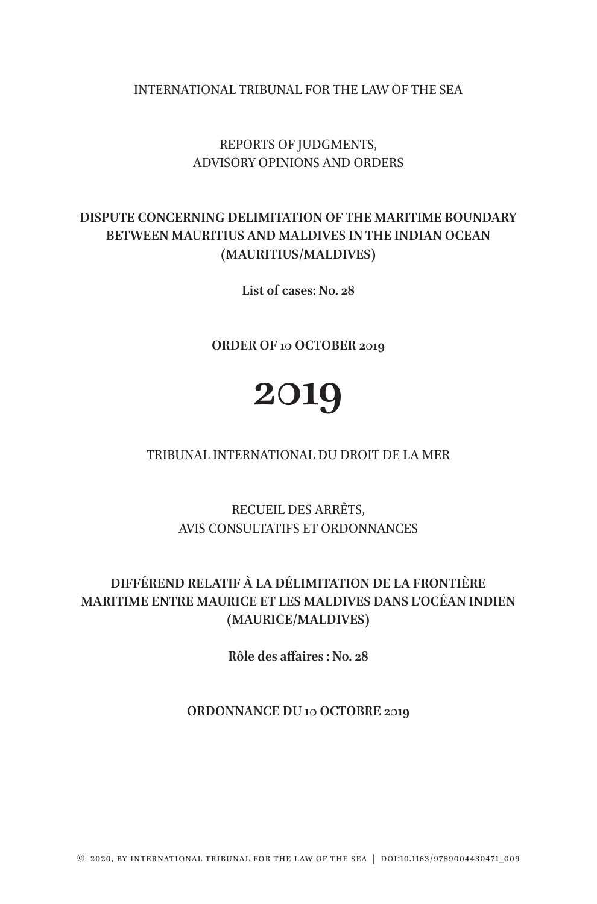INTERNATIONAL TRIBUNAL FOR THE LAW OF THE SEA

## REPORTS OF JUDGMENTS, ADVISORY OPINIONS AND ORDERS

## **DISPUTE CONCERNING DELIMITATION OF THE MARITIME BOUNDARY BETWEEN MAURITIUS AND MALDIVES IN THE INDIAN OCEAN (MAURITIUS/MALDIVES)**

**List of cases: No. 28**

**ORDER OF 10 OCTOBER 2019**

# **2019**

#### TRIBUNAL INTERNATIONAL DU DROIT DE LA MER

RECUEIL DES ARRÊTS, AVIS CONSULTATIFS ET ORDONNANCES

# **DIFFÉREND RELATIF À LA DÉLIMITATION DE LA FRONTIÈRE MARITIME ENTRE MAURICE ET LES MALDIVES DANS L'OCÉAN INDIEN (MAURICE/MALDIVES)**

**Rôle des affaires : No. 28**

#### **ORDONNANCE DU 10 OCTOBRE 2019**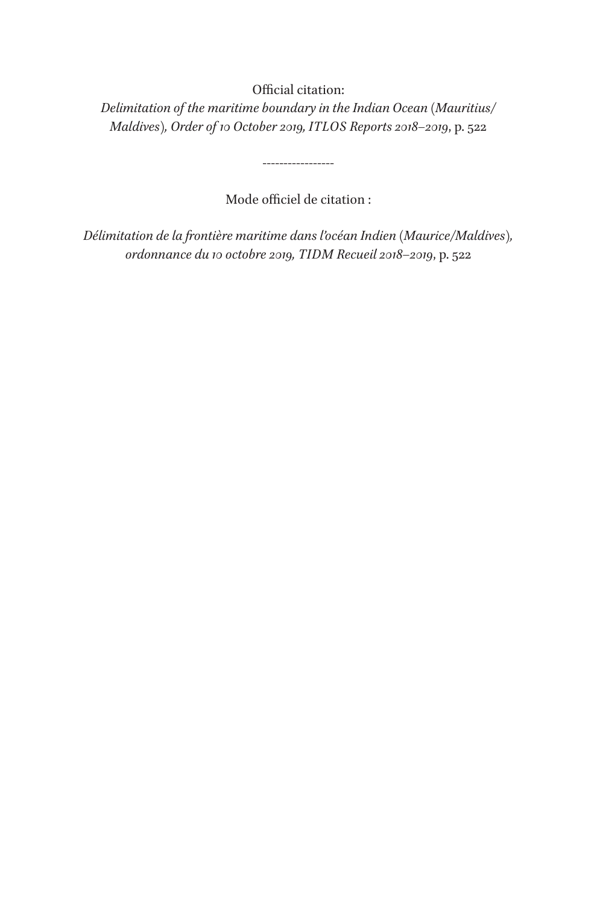### Official citation:

*Delimitation of the maritime boundary in the Indian Ocean (Mauritius/ Maldives), Order of 10 October 2019, ITLOS Reports 2018–2019*, p. 522

Mode officiel de citation :

-----------------

*Délimitation de la frontière maritime dans l'océan Indien (Maurice/Maldives), ordonnance du 10 octobre 2019, TIDM Recueil 2018–2019*, p. 522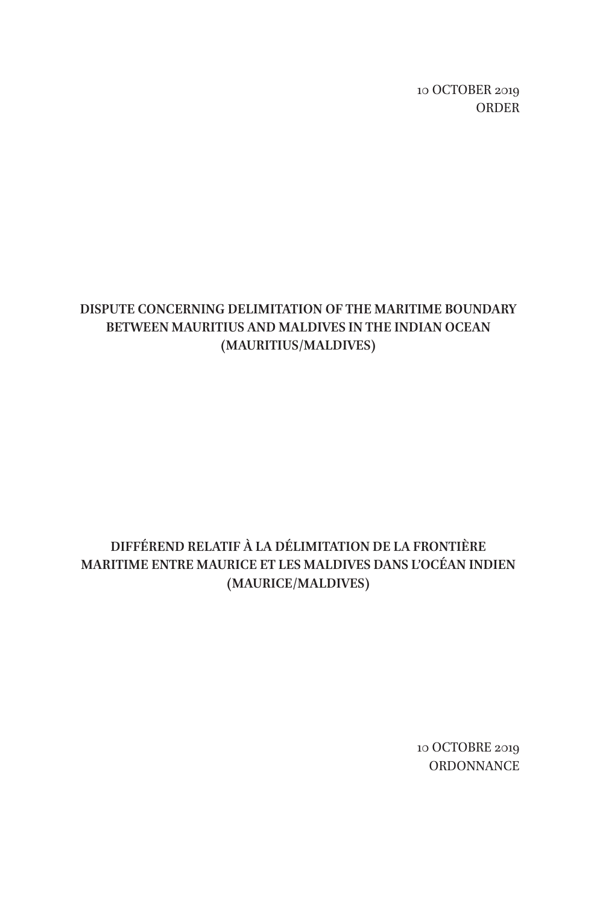10 OCTOBER 2019 ORDER

## **DISPUTE CONCERNING DELIMITATION OF THE MARITIME BOUNDARY BETWEEN MAURITIUS AND MALDIVES IN THE INDIAN OCEAN (MAURITIUS/MALDIVES)**

# **DIFFÉREND RELATIF À LA DÉLIMITATION DE LA FRONTIÈRE MARITIME ENTRE MAURICE ET LES MALDIVES DANS L'OCÉAN INDIEN (MAURICE/MALDIVES)**

10 OCTOBRE 2019 **ORDONNANCE**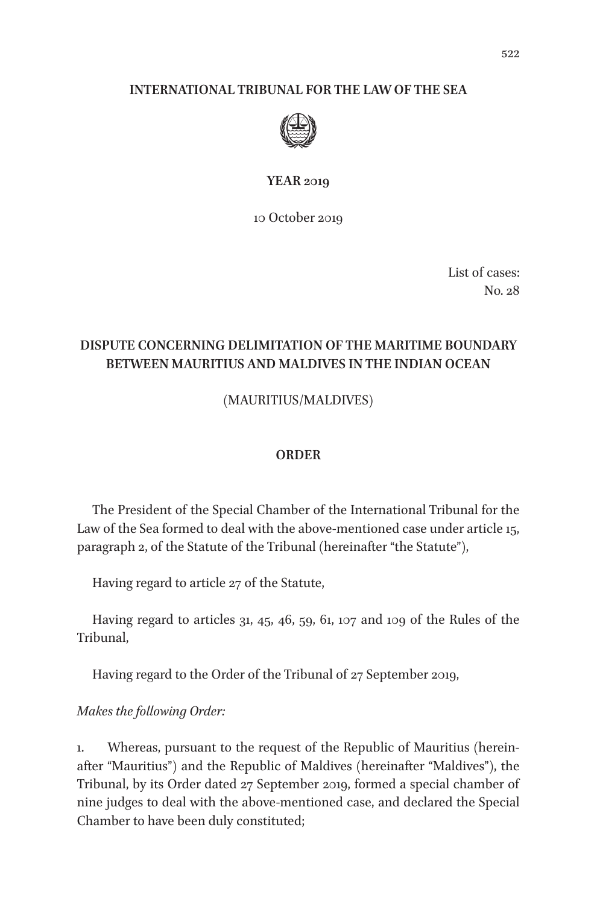#### **INTERNATIONAL TRIBUNAL FOR THE LAW OF THE SEA**



#### **YEAR 2019**

10 October 2019

List of cases: No. 28

## **DISPUTE CONCERNING DELIMITATION OF THE MARITIME BOUNDARY BETWEEN MAURITIUS AND MALDIVES IN THE INDIAN OCEAN**

(MAURITIUS/MALDIVES)

#### **ORDER**

The President of the Special Chamber of the International Tribunal for the Law of the Sea formed to deal with the above-mentioned case under article 15, paragraph 2, of the Statute of the Tribunal (hereinafter "the Statute"),

Having regard to article 27 of the Statute,

Having regard to articles 31, 45, 46, 59, 61, 107 and 109 of the Rules of the Tribunal,

Having regard to the Order of the Tribunal of 27 September 2019,

*Makes the following Order:*

1. Whereas, pursuant to the request of the Republic of Mauritius (hereinafter "Mauritius") and the Republic of Maldives (hereinafter "Maldives"), the Tribunal, by its Order dated 27 September 2019, formed a special chamber of nine judges to deal with the above-mentioned case, and declared the Special Chamber to have been duly constituted;